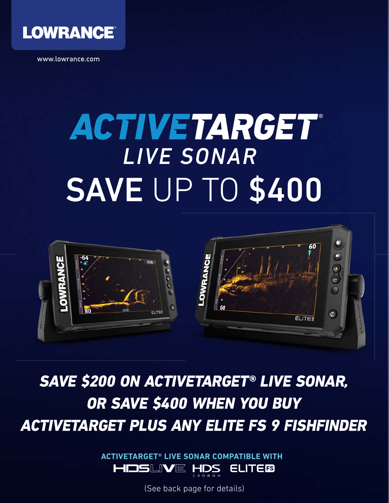

www.lowrance.com

# SAVE UP TO \$400 ACTIVETARGET *LIVE SONAR*



SAVE \$200 ON ACTIVETARGET® LIVE SONAR, OR SAVE \$400 WHEN YOU BUY ACTIVETARGET PLUS ANY ELITE FS 9 FISHFINDER

> **ACTIVETARGET® LIVE SONAR COMPATIBLE WITH** HOSL <u>IVE</u> **ELITEES** -IDS

> > (See back page for details)